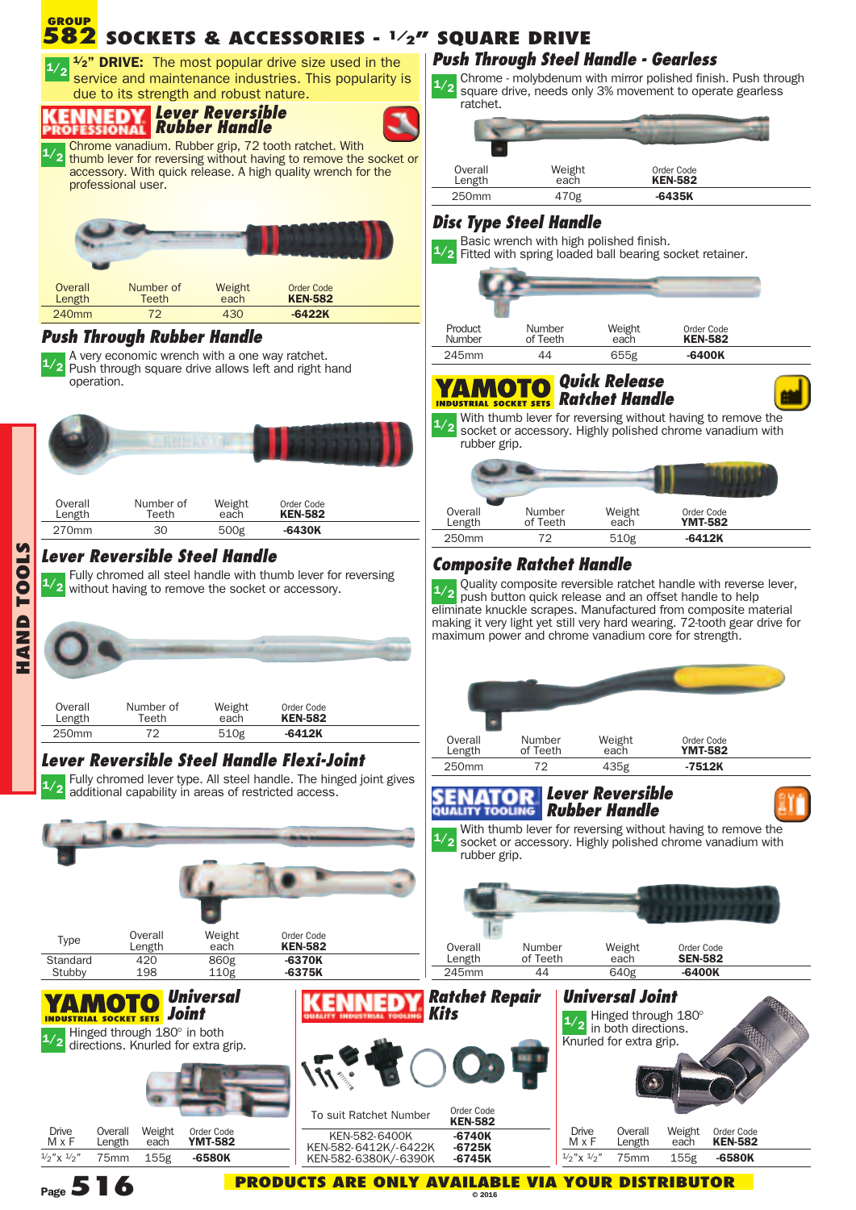

**Page516**

**© 2016**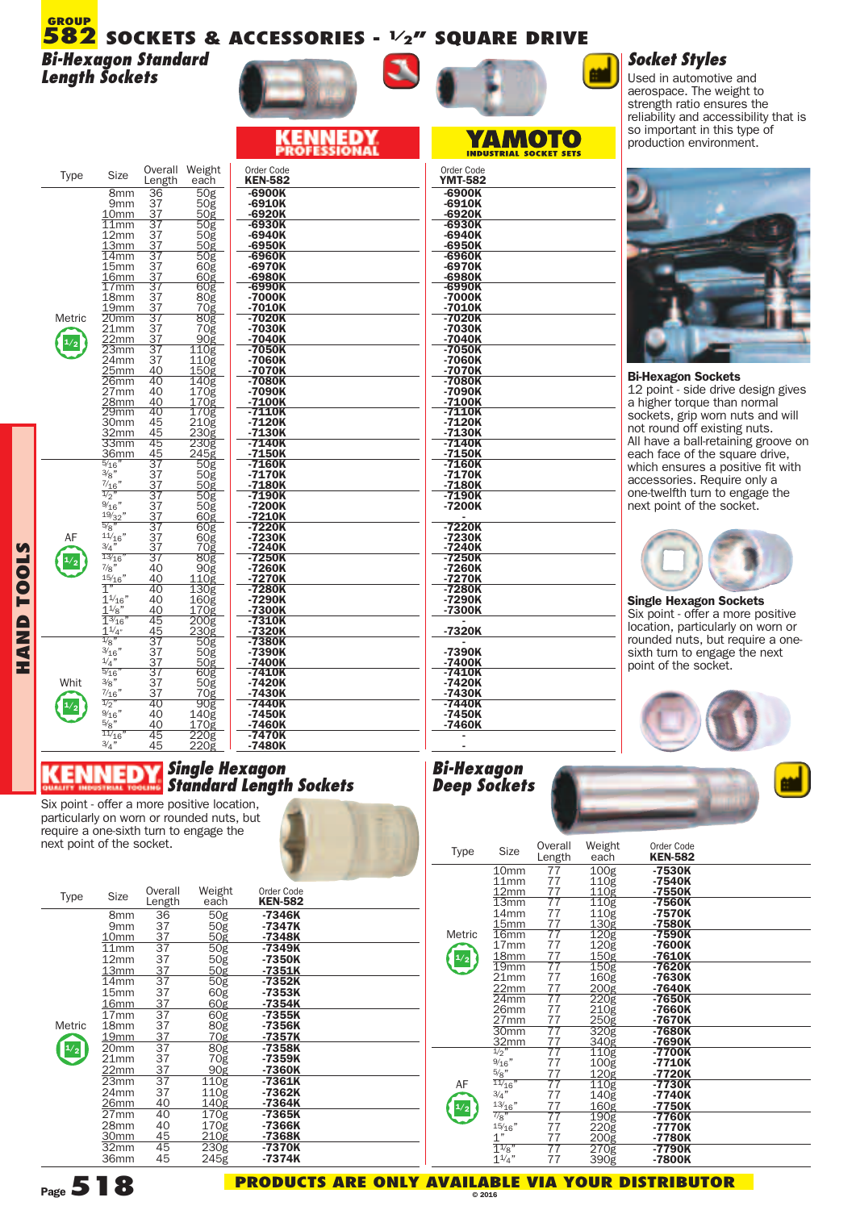#### **SOCKETS & ACCESSORIES - 1/2" SQUARE DRIVE 582 GROUP**

*Bi-Hexagon Standard Length Sockets*

#### **IED** ( E )

| Type   | Size                               | Overall<br>Length           | Weight<br>each                  | Order Code<br><b>KEN-582</b> |
|--------|------------------------------------|-----------------------------|---------------------------------|------------------------------|
|        | 8mm<br>9mm                         | $\overline{3}6$<br>37<br>37 | $\overline{50}$ g<br>50g<br>50g | -6900K<br>-6910K<br>-6920K   |
|        | 10 <sub>mm</sub><br>11mm           | 37                          | <u>50g</u>                      | -6930K                       |
|        | 12mm                               | 37                          | 50g<br>50g                      | -6940K                       |
|        | 13mm<br>$\overline{14}$ mm         | $\frac{37}{37}$             | 50g                             | -6950K<br>-6960K             |
|        | 15mm                               | 37                          | 60g                             | -6970K                       |
|        | 16mm                               | 37<br>37                    | 60 <sub>g</sub>                 | -6980K                       |
|        | $\overline{1}7$ mm<br>18mm         | 37                          | 60g<br>80g                      | -6990K<br>-7000K             |
|        | 19 <sub>mm</sub>                   | 37                          | 70ğ                             | -7010K                       |
| Metric | 20 <sub>mm</sub><br>21mm           | $\overline{37}$             | 80g<br>70g                      | -7020K<br>-7030K             |
|        | 22mm                               | $\frac{37}{37}$             | 90g                             | -7040K                       |
|        | 23mm                               | $\overline{37}$             | 110g                            | $-7050K$                     |
|        | 24 <sub>mm</sub><br>25mm           | $\overline{3}7$<br>40       | $110\bar{g}$<br>150g            | -7060K<br>-7070K             |
|        | 26mm                               | 40                          | 140g                            | -7080K                       |
|        | 27 <sub>mm</sub>                   | 40                          | $\overline{1}70\overline{g}$    | -7090K                       |
|        | 28mm<br>$\overline{29}$ mm         | 40<br>40                    | 170g<br>170g                    | -7100K<br>$-7110K$           |
|        | 30mm                               | 45                          |                                 | -7120K                       |
|        | 32mm                               | 45                          | 210g<br>230g<br>230g<br>230g    | -7130K                       |
|        | 33mm<br>36 <sub>mm</sub>           | 45<br>45                    | 245g                            | -7140K<br>$-7150K$           |
|        | $\frac{5}{16}$                     | 37                          | 50g                             | -7160K                       |
|        | 3/g''                              | 37                          | 50g                             | -7170K                       |
|        | $\frac{7}{16}$ "<br>$\frac{1}{2}$  | $\frac{37}{37}$             | 50g<br>50 <sub>g</sub>          | $-7180K$<br>-7190K           |
|        | $\frac{9}{16}$ "                   | 37                          | $\frac{50}{9}$                  | -7200K                       |
|        | 19/32"<br>$\sqrt[5]{8}$            | $\frac{37}{37}$             |                                 | -7210K                       |
| AF     | 11/16"                             | 37                          | 60g<br>60g                      | -7220K<br>-7230K             |
|        | 3/4                                | 37                          | 70ğ                             | -7240K                       |
|        | $\frac{13}{16}$<br>$\frac{7}{8}$ " | 37<br>40                    | 80g                             | -7250K                       |
|        | 15/16"                             | 40                          | 90g<br>110g                     | -7260K<br>-7270K             |
|        | $\overline{1}$                     | 40                          | 130g                            | -7280K                       |
|        | $1^{1/16}$<br>$1\frac{1}{8}$       | 40<br>40                    | 160g<br>170g                    | -7290K<br>-7300K             |
|        | $1\%_{16}$                         | 45                          | 200 <sub>g</sub>                | -7310K                       |
|        | $1^{1/4}$                          | 45                          | 230g                            | -7320K                       |
|        | $\frac{1}{8}$<br>3/16"             | 37<br>$\bar{3}\bar{7}$      | $\frac{1}{50}$                  | -7380K<br>-7390K             |
|        | 1/4"                               | 37                          | 50g                             | -7400K                       |
|        | $\frac{5}{16}$                     | $\bar{3}\bar{7}$            | 60g                             | -7410K                       |
| Whit   | 3/8"<br>$\frac{7}{16}$ "           | 37<br>37                    | 50ğ<br>70 <sub>g</sub>          | -7420K<br>-7430K             |
|        | $\frac{1}{2}$                      | 40                          | 90g                             | -7440K                       |
|        | $\frac{9}{16}$ "                   | 40                          | 140g                            | -7450K                       |
|        | 5/8"<br>11/16'                     | 40<br>45                    | $170\bar{g}$<br>220g            | -7460K<br>-7470K             |
|        | 3/4"                               | 45                          | 220g                            | -7480K                       |

#### *Single Hexagon Standard Length Sockets*

Six point - offer <sup>a</sup> more positive location, particularly on worn or rounded nuts, but require a one-sixth turn to engage the next point of the socket.

| Type   | Size                                                   | Overall<br>Length           | Weight<br>each                                   | Order Code<br><b>KEN-582</b>   |  |
|--------|--------------------------------------------------------|-----------------------------|--------------------------------------------------|--------------------------------|--|
|        | 8 <sub>mm</sub><br>9 <sub>mm</sub><br>10 <sub>mm</sub> | 36<br>37<br>37              | 50g<br>50 <sub>g</sub><br><u>50g</u>             | -7346K<br>$-7347K$<br>-7348K   |  |
|        | 11mm<br>12 <sub>mm</sub><br>13mm                       | $\frac{1}{37}$<br>37<br>37  | 50 <sub>g</sub><br>50 <sub>g</sub><br>50g        | $-7349K$<br>-7350K<br>$-7351K$ |  |
|        | 14 <sub>mm</sub><br>15mm<br>16 <sub>mm</sub>           | 37<br>37<br>$\frac{37}{37}$ | $\overline{50g}$<br>60g<br>60 <sub>g</sub>       | $-7352K$<br>-7353K<br>$-7354K$ |  |
| Metric | 17mm<br>18mm<br>19mm                                   | 37<br>37                    | 60 <sub>g</sub><br>80 <sub>g</sub><br><u>70ğ</u> | $-7355K$<br>-7356K<br>-7357K   |  |
| 1/2    | 20mm<br>21mm<br>22mm                                   | $\overline{37}$<br>37       | 80 <sub>g</sub><br>70ğ<br>90g                    | $-7358K$<br>-7359K<br>-7360K   |  |
|        | 23mm<br>24mm<br>26mm                                   | $\frac{37}{37}$<br>37<br>40 | $110\overline{g}$<br>110 <sub>g</sub><br>140g    | -7361K<br>-7362K<br>-7364K     |  |
|        | 27mm<br>28mm<br>30mm                                   | 40<br>40<br>45              | 170 <sub>g</sub><br>$170\bar{g}$<br>210g         | -7365K<br>-7366K<br>-7368K     |  |
|        | 32mm<br>36mm                                           | 45<br>45                    | 230g<br>245g                                     | -7370K<br>-7374K               |  |

# Order Code **YMT-582 -6900K -6910K -6920K -6930K -6940K -6950K -6960K -6970K -6980K -6990K -7000K -7010K -7020K -7030K -7040K -7050K -7060K -7070K -7080K -7090K -7100K -7110K -7120K -7130K -7140K -7150K -7160K -7170K -7180K -7190K -7200K - -7220K -7230K -7240K -7250K -7260K -7270K -7280K -7290K -7300K - -7320K - -7390K -7400K -7410K -7420K -7430K -7440K -7450K -7460K -** -6910K -6920K<br>-6930K  $-6940K$ -6950K<br>-6960K -6970K <u>-6980K</u><br>-6990K  $-7000K$ -7010K -7020R<br>-7030K<br>-7040K<br>-7050K <u>-7070K</u><br>-7080K -7090K -7090K<br>-7100K<br>-7110K  $-7120K$ <u>-7130K</u><br>-7140K <u>-7150K</u><br>-7160K -71606<br>-7170K<br>-7180K<br>-7190K

**YAMOTO** 



# *Socket Styles*

Used in automotive and aerospace. The weight to strength ratio ensures the reliability and accessibility that is so important in this type of production environment.



#### **Bi-Hexagon Sockets**

12 point - side drive design gives a higher torque than normal sockets, grip worn nuts and will not round off existing nuts. All have a ball-retaining groove on each face of the square drive, which ensures a positive fit with accessories. Require only a one-twelfth turn to engage the next point of the socket.



**Single Hexagon Sockets** Six point - offer a more positive location, particularly on worn or rounded nuts, but require a onesixth turn to engage the next point of the socket.



#### *Bi-Hexagon Deep Sockets*

**-**

| <b>Type</b> | <b>Size</b>                                  | Overall<br>Length                                          | Weight<br>each                            | Order Code<br><b>KEN-582</b>   |  |
|-------------|----------------------------------------------|------------------------------------------------------------|-------------------------------------------|--------------------------------|--|
|             | 10mm<br>11mm<br>12mm                         | 77<br>77<br>77                                             | 100g<br>110g<br>110 <sub>g</sub>          | -7530K<br>-7540K<br>-7550K     |  |
|             | $\overline{13}$ mm<br>14mm<br>15mm           | $\overline{77}$<br>$\begin{array}{c} 77 \\ 77 \end{array}$ | 110g<br>110g<br><u>130ğ</u>               | -7560K<br>-7570K<br>-7580K     |  |
| Metric      | 16 <sub>mm</sub><br>17 <sub>mm</sub><br>18mm | 77<br>77<br>77                                             | 120 <sub>g</sub><br>$120\bar{g}$<br>150g  | $-7590K$<br>-7600K<br>$-7610K$ |  |
|             | 19 <sub>mm</sub><br>21mm<br>22mm             | $\overline{77}$<br>77<br>77                                | 150g<br>160 <sub>g</sub><br>200g          | $-7620K$<br>-7630K<br>$-7640K$ |  |
|             | 24mm<br>26mm<br>27mm                         | $\overline{77}$<br>77<br>77                                | $\overline{220g}$<br>210ğ<br>250g         | -7650K<br>-7660K<br>-7670K     |  |
|             | 30mm<br>32mm                                 | 77<br>77                                                   | 320 <sub>g</sub><br>340g                  | $-7680K$<br>-7690K             |  |
|             | $\frac{1}{2}$<br>9/16"<br>$\frac{5}{8}$ "    | $\overline{77}$<br>77<br>77                                | $\overline{110}g$<br>$100\bar{g}$<br>120g | $-7700K$<br>$-7710K$<br>-7720K |  |
| AF          | $\frac{11}{16}$<br>3/4"<br>13/16"            | $\overline{77}$<br>77<br>77                                | $\overline{110g}$<br>140g<br>160g         | $-7730K$<br>$-7740K$<br>-7750K |  |
|             | $^{7/8"}$<br>15/16"<br>1"                    | 77<br>77<br>77                                             | 190g<br>220g                              | -7760K<br>-7770K<br>-7780K     |  |
|             | $1^{1/8}$<br>$1^{1/4"}$                      | 77<br>77                                                   | 200g<br>270g<br>390g                      | -7790K<br>-7800K               |  |



**HA N D T O O L** <u>ທ</u>